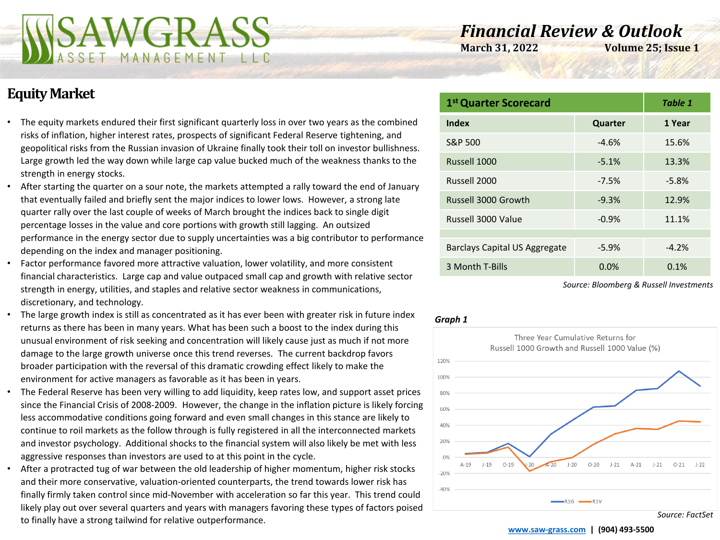

# *Financial Review & Outlook*

**March 31, 2022 Volume 25; Issue 1** 

## **Equity Market**

- The equity markets endured their first significant quarterly loss in over two years as the combined risks of inflation, higher interest rates, prospects of significant Federal Reserve tightening, and geopolitical risks from the Russian invasion of Ukraine finally took their toll on investor bullishness. Large growth led the way down while large cap value bucked much of the weakness thanks to the strength in energy stocks.
- After starting the quarter on a sour note, the markets attempted a rally toward the end of January that eventually failed and briefly sent the major indices to lower lows. However, a strong late quarter rally over the last couple of weeks of March brought the indices back to single digit percentage losses in the value and core portions with growth still lagging. An outsized performance in the energy sector due to supply uncertainties was a big contributor to performance depending on the index and manager positioning.
- Factor performance favored more attractive valuation, lower volatility, and more consistent financial characteristics. Large cap and value outpaced small cap and growth with relative sector strength in energy, utilities, and staples and relative sector weakness in communications, discretionary, and technology.
- The large growth index is still as concentrated as it has ever been with greater risk in future index returns as there has been in many years. What has been such a boost to the index during this unusual environment of risk seeking and concentration will likely cause just as much if not more damage to the large growth universe once this trend reverses. The current backdrop favors broader participation with the reversal of this dramatic crowding effect likely to make the environment for active managers as favorable as it has been in years.
- The Federal Reserve has been very willing to add liquidity, keep rates low, and support asset prices since the Financial Crisis of 2008-2009. However, the change in the inflation picture is likely forcing less accommodative conditions going forward and even small changes in this stance are likely to continue to roil markets as the follow through is fully registered in all the interconnected markets and investor psychology. Additional shocks to the financial system will also likely be met with less aggressive responses than investors are used to at this point in the cycle.
- After a protracted tug of war between the old leadership of higher momentum, higher risk stocks and their more conservative, valuation-oriented counterparts, the trend towards lower risk has finally firmly taken control since mid-November with acceleration so far this year. This trend could likely play out over several quarters and years with managers favoring these types of factors poised to finally have a strong tailwind for relative outperformance. **[www.saw-grass.com](http://www.saw-grass.com/) | (904) 493-5500**

| 1 <sup>st</sup> Quarter Scorecard | Table 1 |         |
|-----------------------------------|---------|---------|
| Index                             | Quarter | 1 Year  |
| S&P 500                           | $-4.6%$ | 15.6%   |
| Russell 1000                      | $-5.1%$ | 13.3%   |
| Russell 2000                      | $-7.5%$ | $-5.8%$ |
| Russell 3000 Growth               | $-9.3%$ | 12.9%   |
| Russell 3000 Value                | $-0.9%$ | 11.1%   |
|                                   |         |         |
| Barclays Capital US Aggregate     | $-5.9%$ | $-4.2%$ |
| 3 Month T-Bills                   | 0.0%    | 0.1%    |

*Source: Bloomberg & Russell Investments*

#### *Graph 1*